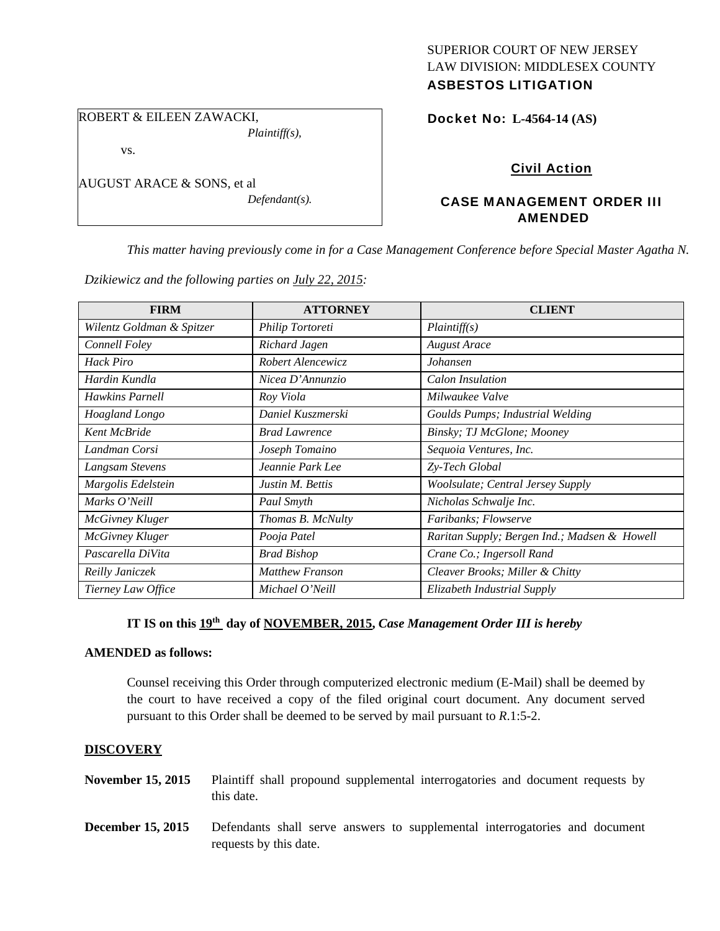# SUPERIOR COURT OF NEW JERSEY LAW DIVISION: MIDDLESEX COUNTY

## ASBESTOS LITIGATION

Docket No: **L-4564-14 (AS)** 

ROBERT & EILEEN ZAWACKI,

vs.

AUGUST ARACE & SONS, et al

*Defendant(s).* 

*Plaintiff(s),* 

### Civil Action

### CASE MANAGEMENT ORDER III AMENDED

*This matter having previously come in for a Case Management Conference before Special Master Agatha N.* 

*Dzikiewicz and the following parties on July 22, 2015:* 

| <b>FIRM</b>               | <b>ATTORNEY</b>      | <b>CLIENT</b>                                |
|---------------------------|----------------------|----------------------------------------------|
| Wilentz Goldman & Spitzer | Philip Tortoreti     | Plaintiff(s)                                 |
| Connell Foley             | Richard Jagen        | <b>August Arace</b>                          |
| Hack Piro                 | Robert Alencewicz    | Johansen                                     |
| Hardin Kundla             | Nicea D'Annunzio     | Calon Insulation                             |
| Hawkins Parnell           | Roy Viola            | Milwaukee Valve                              |
| Hoagland Longo            | Daniel Kuszmerski    | Goulds Pumps; Industrial Welding             |
| Kent McBride              | <b>Brad Lawrence</b> | Binsky; TJ McGlone; Mooney                   |
| Landman Corsi             | Joseph Tomaino       | Sequoia Ventures, Inc.                       |
| Langsam Stevens           | Jeannie Park Lee     | Zy-Tech Global                               |
| Margolis Edelstein        | Justin M. Bettis     | Woolsulate; Central Jersey Supply            |
| Marks O'Neill             | Paul Smyth           | Nicholas Schwalje Inc.                       |
| <b>McGivney Kluger</b>    | Thomas B. McNulty    | Faribanks; Flowserve                         |
| <b>McGivney Kluger</b>    | Pooja Patel          | Raritan Supply; Bergen Ind.; Madsen & Howell |
| Pascarella DiVita         | <b>Brad Bishop</b>   | Crane Co.; Ingersoll Rand                    |
| Reilly Janiczek           | Matthew Franson      | Cleaver Brooks; Miller & Chitty              |
| Tierney Law Office        | Michael O'Neill      | Elizabeth Industrial Supply                  |

## IT IS on this  $19^{th}$  day of NOVEMBER, 2015, *Case Management Order III is hereby*

#### **AMENDED as follows:**

Counsel receiving this Order through computerized electronic medium (E-Mail) shall be deemed by the court to have received a copy of the filed original court document. Any document served pursuant to this Order shall be deemed to be served by mail pursuant to *R*.1:5-2.

#### **DISCOVERY**

- **November 15, 2015** Plaintiff shall propound supplemental interrogatories and document requests by this date.
- **December 15, 2015** Defendants shall serve answers to supplemental interrogatories and document requests by this date.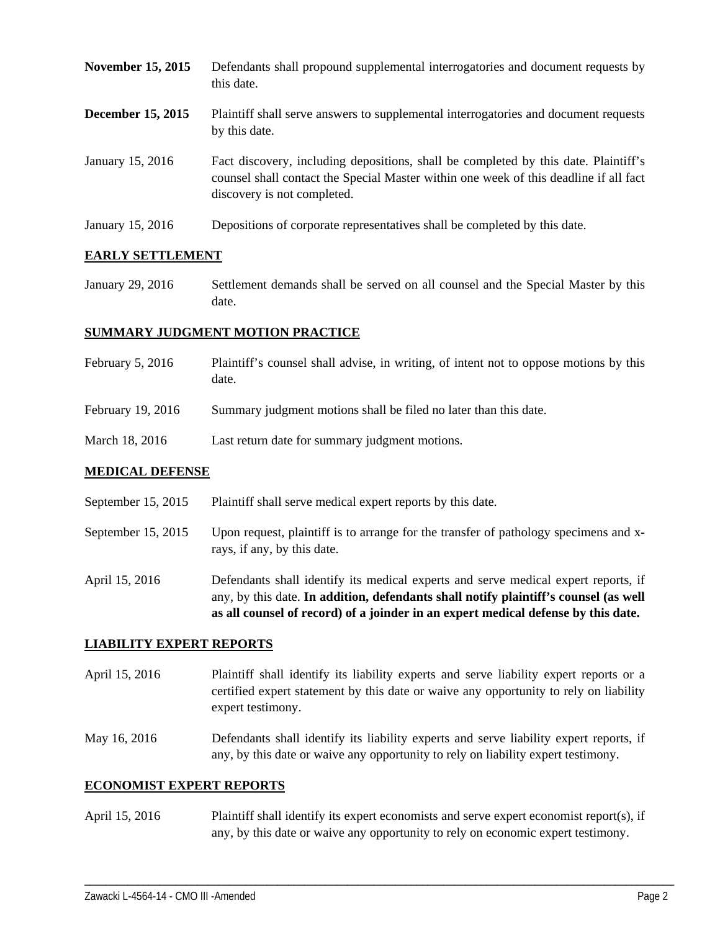- **November 15, 2015** Defendants shall propound supplemental interrogatories and document requests by this date. **December 15, 2015** Plaintiff shall serve answers to supplemental interrogatories and document requests by this date.
- January 15, 2016 Fact discovery, including depositions, shall be completed by this date. Plaintiff's counsel shall contact the Special Master within one week of this deadline if all fact discovery is not completed.
- January 15, 2016 Depositions of corporate representatives shall be completed by this date.

#### **EARLY SETTLEMENT**

January 29, 2016 Settlement demands shall be served on all counsel and the Special Master by this date.

#### **SUMMARY JUDGMENT MOTION PRACTICE**

- February 5, 2016 Plaintiff's counsel shall advise, in writing, of intent not to oppose motions by this date.
- February 19, 2016 Summary judgment motions shall be filed no later than this date.
- March 18, 2016 Last return date for summary judgment motions.

#### **MEDICAL DEFENSE**

- September 15, 2015 Plaintiff shall serve medical expert reports by this date.
- September 15, 2015 Upon request, plaintiff is to arrange for the transfer of pathology specimens and xrays, if any, by this date.
- April 15, 2016 Defendants shall identify its medical experts and serve medical expert reports, if any, by this date. **In addition, defendants shall notify plaintiff's counsel (as well as all counsel of record) of a joinder in an expert medical defense by this date.**

#### **LIABILITY EXPERT REPORTS**

- April 15, 2016 Plaintiff shall identify its liability experts and serve liability expert reports or a certified expert statement by this date or waive any opportunity to rely on liability expert testimony.
- May 16, 2016 Defendants shall identify its liability experts and serve liability expert reports, if any, by this date or waive any opportunity to rely on liability expert testimony.

#### **ECONOMIST EXPERT REPORTS**

April 15, 2016 Plaintiff shall identify its expert economists and serve expert economist report(s), if any, by this date or waive any opportunity to rely on economic expert testimony.

\_\_\_\_\_\_\_\_\_\_\_\_\_\_\_\_\_\_\_\_\_\_\_\_\_\_\_\_\_\_\_\_\_\_\_\_\_\_\_\_\_\_\_\_\_\_\_\_\_\_\_\_\_\_\_\_\_\_\_\_\_\_\_\_\_\_\_\_\_\_\_\_\_\_\_\_\_\_\_\_\_\_\_\_\_\_\_\_\_\_\_\_\_\_\_\_\_\_\_\_\_\_\_\_\_\_\_\_\_\_